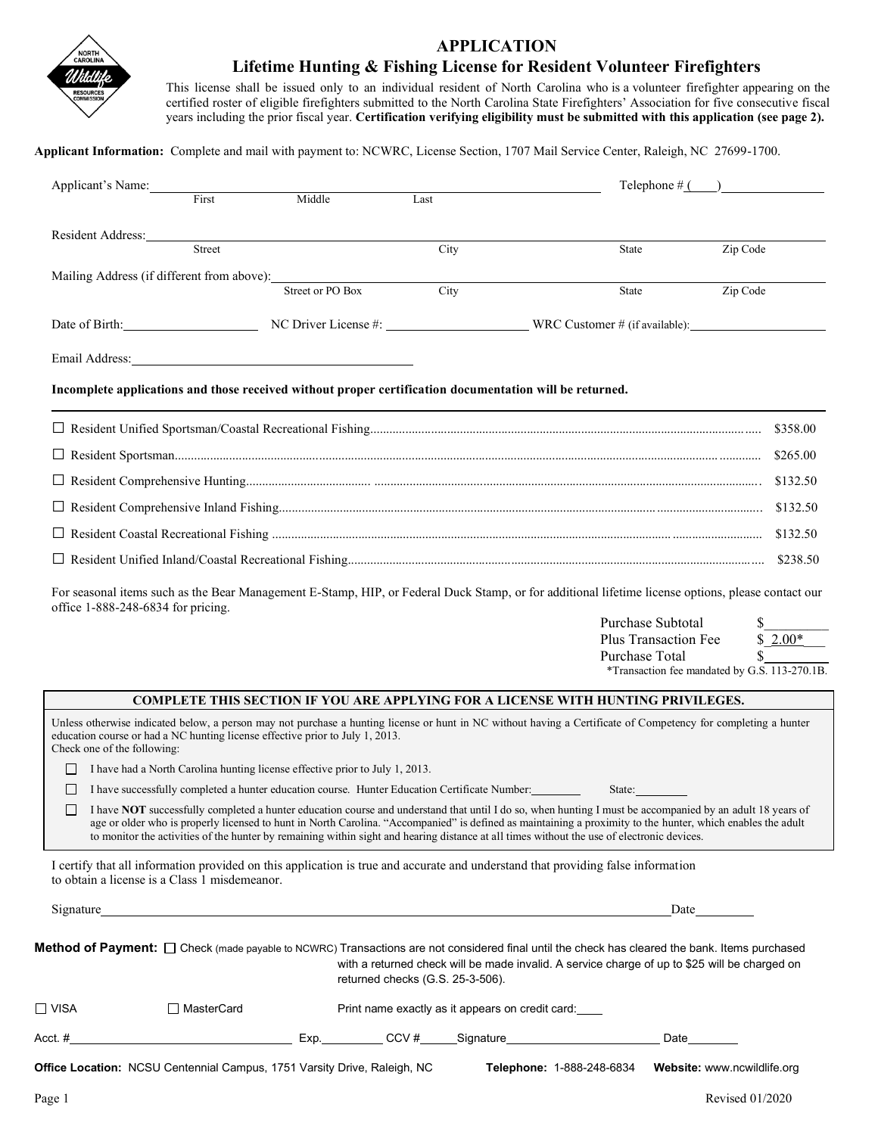

### **APPLICATION Lifetime Hunting & Fishing License for Resident Volunteer Firefighters**

This license shall be issued only to an individual resident of North Carolina who is a volunteer firefighter appearing on the certified roster of eligible firefighters submitted to the North Carolina State Firefighters' Association for five consecutive fiscal years including the prior fiscal year. **Certification verifying eligibility must be submitted with this application (see page 2).**

**Applicant Information:** Complete and mail with payment to: NCWRC, License Section, 1707 Mail Service Center, Raleigh, NC 27699-1700.

|                             | Applicant's Name:                                                             |                  |                                                                                                         |                                                                                                                                                                                                                                                                                                                                                                                                                                                                        | Telephone $\#$ $\Box$                                     |  |
|-----------------------------|-------------------------------------------------------------------------------|------------------|---------------------------------------------------------------------------------------------------------|------------------------------------------------------------------------------------------------------------------------------------------------------------------------------------------------------------------------------------------------------------------------------------------------------------------------------------------------------------------------------------------------------------------------------------------------------------------------|-----------------------------------------------------------|--|
|                             | First                                                                         | Middle           | Last                                                                                                    |                                                                                                                                                                                                                                                                                                                                                                                                                                                                        |                                                           |  |
| Resident Address:           |                                                                               |                  |                                                                                                         |                                                                                                                                                                                                                                                                                                                                                                                                                                                                        |                                                           |  |
|                             | Street                                                                        |                  | City                                                                                                    | State                                                                                                                                                                                                                                                                                                                                                                                                                                                                  | Zip Code                                                  |  |
|                             | Mailing Address (if different from above):                                    | Street or PO Box | City                                                                                                    | State                                                                                                                                                                                                                                                                                                                                                                                                                                                                  | Zip Code                                                  |  |
|                             |                                                                               |                  |                                                                                                         | Date of Birth: NC Driver License #: WRC Customer # (if available):                                                                                                                                                                                                                                                                                                                                                                                                     |                                                           |  |
|                             |                                                                               |                  |                                                                                                         |                                                                                                                                                                                                                                                                                                                                                                                                                                                                        |                                                           |  |
|                             |                                                                               |                  |                                                                                                         |                                                                                                                                                                                                                                                                                                                                                                                                                                                                        |                                                           |  |
|                             |                                                                               |                  | Incomplete applications and those received without proper certification documentation will be returned. |                                                                                                                                                                                                                                                                                                                                                                                                                                                                        |                                                           |  |
|                             |                                                                               |                  |                                                                                                         |                                                                                                                                                                                                                                                                                                                                                                                                                                                                        |                                                           |  |
|                             |                                                                               |                  |                                                                                                         |                                                                                                                                                                                                                                                                                                                                                                                                                                                                        | \$265.00                                                  |  |
|                             |                                                                               |                  |                                                                                                         |                                                                                                                                                                                                                                                                                                                                                                                                                                                                        | \$132.50                                                  |  |
|                             |                                                                               |                  |                                                                                                         |                                                                                                                                                                                                                                                                                                                                                                                                                                                                        | \$132.50                                                  |  |
|                             |                                                                               |                  | \$132.50                                                                                                |                                                                                                                                                                                                                                                                                                                                                                                                                                                                        |                                                           |  |
|                             |                                                                               |                  |                                                                                                         |                                                                                                                                                                                                                                                                                                                                                                                                                                                                        | \$238.50                                                  |  |
|                             |                                                                               |                  |                                                                                                         | Plus Transaction Fee<br>Purchase Total                                                                                                                                                                                                                                                                                                                                                                                                                                 | $$2.00*$<br>*Transaction fee mandated by G.S. 113-270.1B. |  |
|                             |                                                                               |                  |                                                                                                         |                                                                                                                                                                                                                                                                                                                                                                                                                                                                        |                                                           |  |
|                             |                                                                               |                  |                                                                                                         | <b>COMPLETE THIS SECTION IF YOU ARE APPLYING FOR A LICENSE WITH HUNTING PRIVILEGES.</b>                                                                                                                                                                                                                                                                                                                                                                                |                                                           |  |
| Check one of the following: | education course or had a NC hunting license effective prior to July 1, 2013. |                  |                                                                                                         | Unless otherwise indicated below, a person may not purchase a hunting license or hunt in NC without having a Certificate of Competency for completing a hunter                                                                                                                                                                                                                                                                                                         |                                                           |  |
| $\perp$                     | I have had a North Carolina hunting license effective prior to July 1, 2013.  |                  |                                                                                                         |                                                                                                                                                                                                                                                                                                                                                                                                                                                                        |                                                           |  |
| $\perp$                     |                                                                               |                  | I have successfully completed a hunter education course. Hunter Education Certificate Number:           | State:                                                                                                                                                                                                                                                                                                                                                                                                                                                                 |                                                           |  |
|                             |                                                                               |                  |                                                                                                         | I have NOT successfully completed a hunter education course and understand that until I do so, when hunting I must be accompanied by an adult 18 years of<br>age or older who is properly licensed to hunt in North Carolina. "Accompanied" is defined as maintaining a proximity to the hunter, which enables the adult<br>to monitor the activities of the hunter by remaining within sight and hearing distance at all times without the use of electronic devices. |                                                           |  |
|                             | to obtain a license is a Class 1 misdemeanor.                                 |                  |                                                                                                         | I certify that all information provided on this application is true and accurate and understand that providing false information                                                                                                                                                                                                                                                                                                                                       |                                                           |  |
|                             |                                                                               |                  |                                                                                                         |                                                                                                                                                                                                                                                                                                                                                                                                                                                                        | Date                                                      |  |
|                             |                                                                               |                  | returned checks (G.S. 25-3-506).                                                                        | Method of Payment: □ Check (made payable to NCWRC) Transactions are not considered final until the check has cleared the bank. Items purchased<br>with a returned check will be made invalid. A service charge of up to \$25 will be charged on                                                                                                                                                                                                                        |                                                           |  |
| $\Box$ VISA                 | □ MasterCard                                                                  |                  | Print name exactly as it appears on credit card:                                                        |                                                                                                                                                                                                                                                                                                                                                                                                                                                                        |                                                           |  |